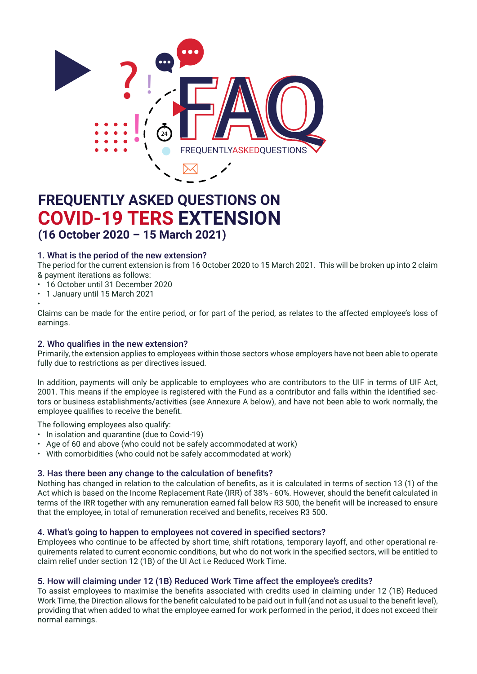

## **FREQUENTLY ASKED QUESTIONS ON COVID-19 TERS EXTENSION (16 October 2020 – 15 March 2021)**

### 1. What is the period of the new extension?

The period for the current extension is from 16 October 2020 to 15 March 2021. This will be broken up into 2 claim & payment iterations as follows:

- • 16 October until 31 December 2020
- • 1 January until 15 March 2021

• Claims can be made for the entire period, or for part of the period, as relates to the affected employee's loss of earnings.

### 2. Who qualifies in the new extension? and the regulations limiting economic activity during the various levels of  $\alpha$

2. who quannes in the new extension:<br>Primarily, the extension applies to employees within those sectors whose employers have not been able to operate fully due to restrictions as per directives issued.

In addition, payments will only be applicable to employees who are contributors to the UIF in terms of UIF Act, 2001. This means if the employee is registered with the Fund as a contributor and falls within the identified seczoon. This means if the employee is registered with the Fand as a commutator and rans within the Remined Sectors or business establishments/activities (see Annexure A below), and have not been able to work normally, the employee qualifies to receive the benefit. ts will only be applicable to employees who are contributors to the UIF in terms of UIF Act,<br>The employee is registered with the Fund as a contributor and follo within the identified ass.

The following employees also qualify:

- The following employees also qualify:<br>• In isolation and quarantine (due to Covid-19)
- In isolation and quarantine (due to bovid 13)<br>• Age of 60 and above (who could not be safely accommodated at work)
- $\cdot$  With comorbidities (who could not be safely accommodated at work)

### 3. Has there been any change to the calculation of benefits?

Nothing has changed in relation to the calculation of benefits, as it is calculated in terms of section 13 (1) of the Act which is based on the Income Replacement Rate (IRR) of 38% - 60%. However, should the benefit calculated in terms of the IRR together with any remuneration earned fall below R3 500, the benefit will be increased to ensure that the employee, in total of remuneration received and benefits, receives R3 500.

### 4. What's going to happen to employees not covered in specified sectors?

Employees who continue to be affected by short time, shift rotations, temporary layoff, and other operational requirements related to current economic conditions, but who do not work in the specified sectors, will be entitled to claim relief under section 12 (1B) of the UI Act i.e Reduced Work Time.

## 5. How will claiming under 12 (1B) Reduced Work Time affect the employee's credits?

To assist employees to maximise the benefits associated with credits used in claiming under 12 (1B) Reduced Work Time, the Direction allows for the benefit calculated to be paid out in full (and not as usual to the benefit level), providing that when added to what the employee earned for work performed in the period, it does not exceed their normal earnings.